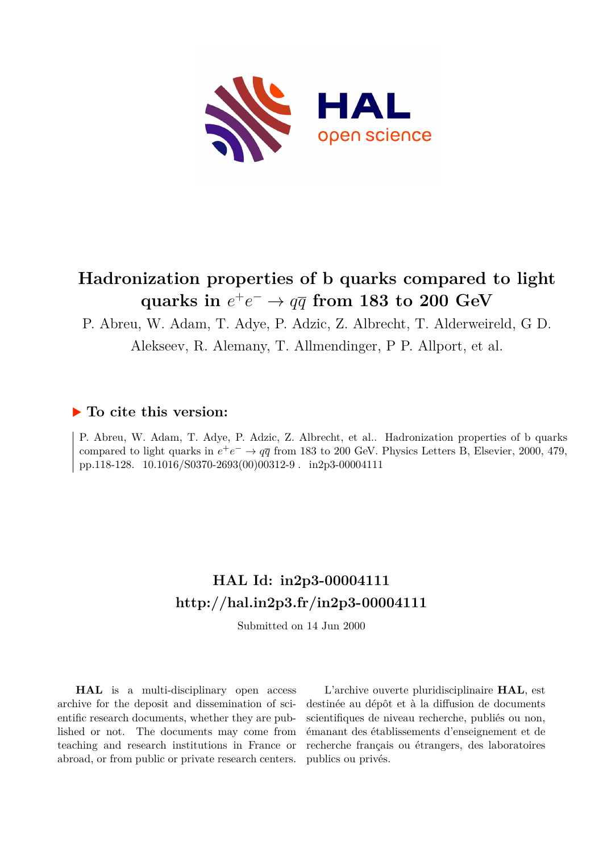

# **Hadronization properties of b quarks compared to light**  $\alpha$  quarks in  $e^+e^- \rightarrow q\overline{q}$  from 183 to 200 GeV

P. Abreu, W. Adam, T. Adye, P. Adzic, Z. Albrecht, T. Alderweireld, G D.

Alekseev, R. Alemany, T. Allmendinger, P P. Allport, et al.

### **To cite this version:**

P. Abreu, W. Adam, T. Adye, P. Adzic, Z. Albrecht, et al.. Hadronization properties of b quarks compared to light quarks in  $e^+e^- \to q\bar{q}$  from 183 to 200 GeV. Physics Letters B, Elsevier, 2000, 479, pp.118-128. 10.1016/S0370-2693(00)00312-9. in2p3-00004111

# **HAL Id: in2p3-00004111 <http://hal.in2p3.fr/in2p3-00004111>**

Submitted on 14 Jun 2000

**HAL** is a multi-disciplinary open access archive for the deposit and dissemination of scientific research documents, whether they are published or not. The documents may come from teaching and research institutions in France or abroad, or from public or private research centers.

L'archive ouverte pluridisciplinaire **HAL**, est destinée au dépôt et à la diffusion de documents scientifiques de niveau recherche, publiés ou non, émanant des établissements d'enseignement et de recherche français ou étrangers, des laboratoires publics ou privés.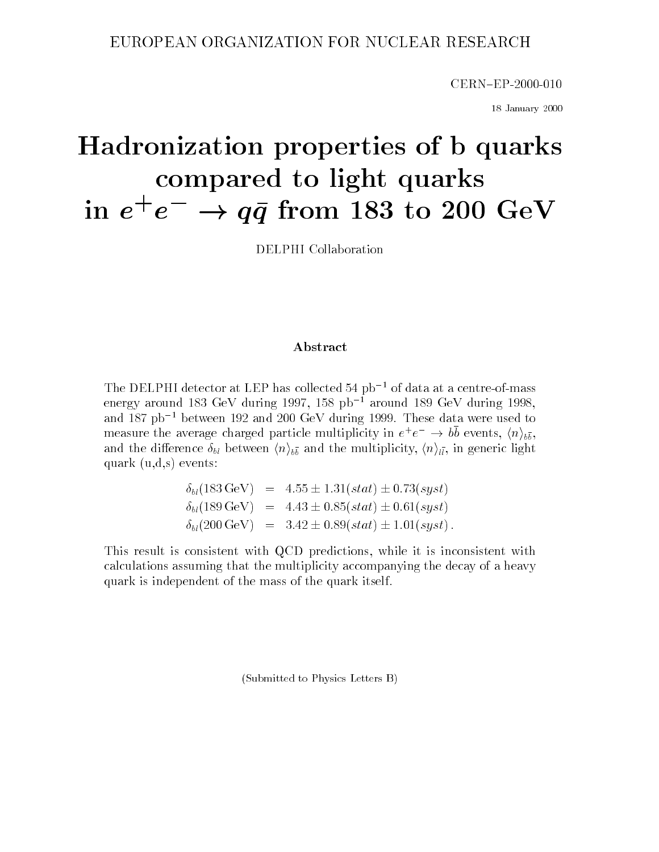### EUROPEAN ORGANIZATION FOR NUCLEAR RESEARCH

CERN{EP-2000-010

18 January 2000

# Hadronization properties of <sup>b</sup> quarks compared to the compared to the second three compared to light  $\sim$ in  $e^+e^- \rightarrow a\bar{a}$  irom 183 to 200 GeV

DELPHI Collaboration

#### Abstract

The DELPHI detector at LEP has collected 54  $pb^{-1}$  of data at a centre-of-mass energy around 183 GeV during 1997, 158  $pb^{-1}$  around 189 GeV during 1998, and  $187$  pb<sup>-1</sup> between 192 and 200 GeV during 1999. These data were used to measure the average charged particle multiplicity in  $e^+e^- \rightarrow$  bo events,  $\langle n \rangle_{b\bar b},$ and the multiplicity, holding  $\mu$ , holding the multiplicity,  $\mu$ ,  $\mu$ ,  $\mu$ , and  $\sigma$  in and  $\sigma$ quark (using the group of the state of the contract of the state of the state of the state of the state of the

> $\delta_{bl}(183 \,\text{GeV})$  = 4.55  $\pm 1.31(stat) \pm 0.73(syst)$  $\delta_{bl}(189 \,\text{GeV})$  = 4.43  $\pm$  0.85(stat)  $\pm$  0.61(syst)  $\delta_{bl}(200 \,\text{GeV}) = 3.42 \pm 0.89(stat) \pm 1.01(syst)$ .

This result is consistent with QCD predictions, while it is inconsistent with calculations assuming that the multiplicity accompanying the decay of a heavy quark is independent of the mass of the quark itself.

(Submitted to Physics Letters B)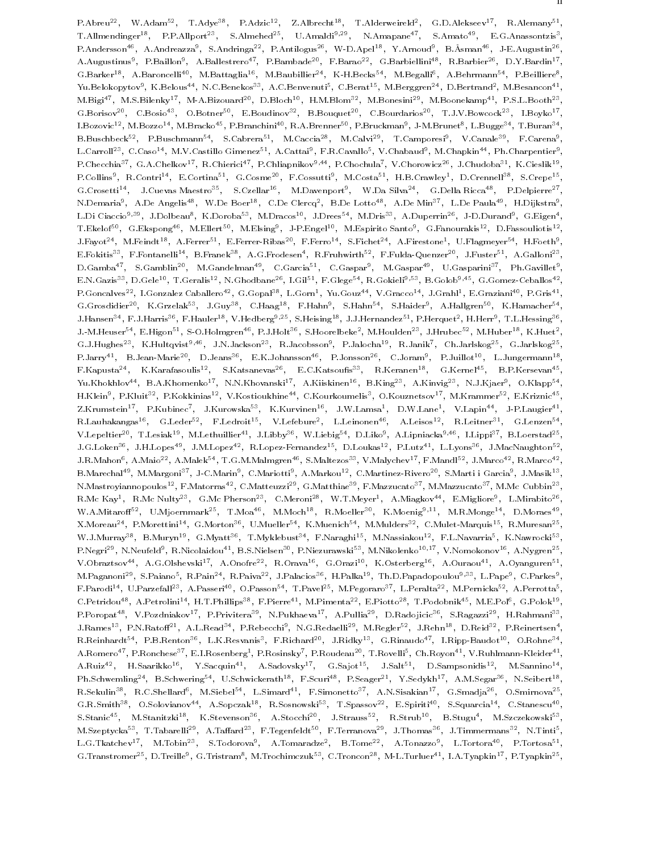F.ADFeu=", W.Adam=", T.Adye"", F.Adzic=", Z.Aldfecht"", T.Alderweifeld", G.D.Alekseev\*'', R.Alemany\*", ' T.Allmendinger="," P.P.Allport="," S.Almened="," U.Amaldi<sup>34</sup>"," N.Amapane="," S.Amato="," E.G.Anassontzis"," P.Andersson\*\*, A.Andreazza\*, S.Andringa\*\*, P.Antilogus\*\*, W-D.Apel\*\*, Y.Arnoud\*, B.Asman\*\*, J-E.Augustin\*\*, A.Augustinus", P.Baillon", A.Ballestrero", P.Bambade", P.Barao", G.Barbiellini", R.Barbier", D.Y.Bardin'', , G.Barker ", A.Baroncelli", M.Battaglia ", M.Baubillier ", K-H.Becks", M.Begalli", A.Behrmann ", P.Beilliere", , Tu.Belokopytov", K.Belous\*\*, N.C.Benekos\*\*, A.C.Benvenuti\*, C.Berat\*\*, M.Berggren\*\*, D.Bertrand\*, M.Besancon\*\*, , M.Bigi47, M.S.Bilenky17, M-A.Bizouard20, D.Bloch10, H.M.Blom32, M.Bonesini29, M.Boonekamp41, P.S.L.Booth23 , G.Borisov22, U.Bosio2, U.Botner22, E.Bouqinov27, B.Bouquet22, U.Bourdarios23, T.J.V.Bowcock23, T.Boyko27, , L.Bozovic<sup>-+</sup>, M.Bozzo<sup>++</sup>, M.Bracko<sup>++</sup>, P.Branchini<sup>++</sup>, R.A.Brenner\*\*, P.Bruckman\*, J-M.Brunet\*, L.Bugge\*\*, T.Buran\*\*, , B.Buschbeck\*\* F.Buschmann\* S.Cabrera\* M.Caccia\* M.Calvi\* I.Camporesi\* V.Canale\* F.Carena\* , L.Carroll\*\*, C.Caso\*\*, M.V.Castillo Gimenez\*\*, A.Cattai\*, P.R.Cavallo\*, V.Chabaud\*, M.Chapkin\*\*, Ph.Charpentier\*, P.Ohecchia (G.A.Ohelkov), R.Ohierici (P.Chliaphikov)), P.Ohochula (V.Ohorowicz-), J.Ohudoba-), K.Oleslik ( P.Collins", R.Contri<sup>14</sup>, E.Cortina<sup>14</sup>, G.Cosme<sup>21</sup>, P.Cossutti<sup>2</sup>, M.Costa<sup>24</sup>, H.B.Crawley1, D.Crennell11, S.Crepe11, G.Crosetti ", J.Cuevas Maestro" , S.Czellar" , M.Davenport , W.Da Silva ", G.Della Ricca" , P.Delpierre" , -N.Demaria", A.De Angelist", W.De Boert", C.De Clercq", B.De Lottoff, A.De Min\*f, L.De Paulaff, H.Dijkstraf, L.Di Ciaccio<sup>-16</sup>, J.Dolbeau , K.Doroba<sup>43</sup>, M.Dracos<sup>23</sup>, J.Drees33, M.Dris<sup>24</sup>, A.Duperrin<sup>26</sup>, J-D.Durand9, G.Eigen3, , T.Ekelof", G.Ekspong", M.Ellert", M.Elsing", J-P.Engel", M.Espirito Santo", G.Fanourakis", D.Fassouliotis", I J.Fayot", M.Feindt", A.Ferrer", E.Ferrer-Ribas", F.Ferro11, S.Fichet", A.Firestone1, U.Flagmeyer11, H.Foeth1, E.Fokitis33, F.Fontanelli 1, B.Franek33, A.G.Frodesen1, K.Fruhwirth32, F.Fulda-Quenzer23, J.Fuster31, A.Galloni23, D.Gamba\*, S.Gambiin\*°, M.Gandelman\*°, C.Garcia\*\*, C.Gaspar\*, M.Gaspar\*\*, U.Gasparini\*, Ph.Gavillet\*, E.N.Gazis°°, D.Gele\*°, T.Geralis\*°, N.Ghodbane°°, T.Gil°\*, F.Glege°\*, R.Gokieli%°°, B.Golob%\*°, G.Gomez-Ceballos\*°, P.Goncalves"", L.Gonzalez Caballero"", G.Gopal°°, L.Gorni, Yu.Gouzii, V.Graccoii, J.Granii, E.Grazianii, P.Gris G.Grosdidier", K.Grzelak\*", J.Guy\*", C.Haag\*", F.Hahn", S.Hahn\*", S.Haider", A.Hallgren\*", K.Hamacher\*", ' J.Hansen ", F.J.Harris", F.Hauler ", V.Hedberg" ", S.Heising", J.J.Hernandez ", P.Herquet", H.Herr", T.L.Hessing , J.-M.Heuser ", E.Higon"", S-O.Holmgren ", P.J.Holt" , S.Hoorelbeke", M.Houlden ", J.Hrubec"", M.Huber"", K.Huet", G.J.Hughes23, K.Hultqvist2122, J.N.Jackson23, R.Jacobsson2, P.Jalocha23, R.Janik7, Un.Jarlskog25, G.Jarlskog25, , P.Jarry 1, D.Jean-Marie 1, D.Jeans 1, E.K.Johansson 1, P.Jonsson 1, C.Joram 1, P.Juillot 1, L.Jungermann 1, F.Kapusta ", K.Karafasoulis", D.Katsanevas", E.O.Katsoulis", K.Keranen , G.Kernel , D.F.Kersevan , Tu.Khokhlov\*\*, B.A.Khomenko\*\*, N.N.Khovanski\*\*, A.Kiiskinen\*\*, B.King\*\*, A.Kinvig\*\*, N.J.Kjaer\*, O.Klapp\*\*, -H.Klein , P.Kluit - , P.Kokkinias - , V.Kostioukhine - , U.Kourkoumelis , U.Kouznetsov , M.Krammer - , E.Kriznic - , Z.Krumstein (P.Kubinec), J.Kurowska1, K.Kurvinen1, J.W.Lamsa1, D.W.Lane1, V.Lapin11, J-P.Laugier11, R.Launakangast, G.Ledertt, P.Ledroitt, V.Leieburet, L.Leinonentt, A.Leisostt, R.Leitnertt, G.Lenzentt, V.Lepeltier-3, T.Lesiak-3, M.Lethuillier-3, J.Libby37, W.Liebig33, D.Liko3, A.Lipniacka333, T.Lippi37, D.Loerstad33, J.G.Loken\*\*, J.H.Lopes\*\*, J.M.Lopez\*\*, R.Lopez-Fernandez\*\*, D.Loukas\*\*, F.Lutz\*\*, L.Lyons\*\*, J.MacNaughton\*\*, J.R.Mahonf, A.Maio22, A.Marco32, T.G.M.Malmgren37, S.Maltezos33, V.Malychev33, P.Mandl12, J.Marco32, R.Marco32, B.Marechal\*\*, M.Margoni\*\*, J-C.Marin\*, C.Mariotti\*, A.Markou\*\*, C.Martinez-Rivero\*\*, S.Marti i Garcia\*, J.Masik\*\*, , N.Mastroyiannopoulos12, F.Matorras42, C.Matteuzzi29, G.Matthiae39, F.Mazzucato37, M.Mazzucato37, M.Mc Cubbin23 , R.Mc Kay", R.Mc Nulty"", G.Mc Pherson"", C.Meroni", W.T.Meyer", A.Miagkov1", E.Migliore", L.Mirabito"", I , W.A.Mitaroff<sup>52</sup>, U.Mjoernmark<sup>25</sup>, T.Moa<sup>46</sup>, M.Moch<sup>18</sup>, R.Moeller<sup>30</sup>, K.Moenig<sup>9,11</sup>, M.R.Monge<sup>14</sup>, D.Moraes<sup>49</sup> , X.Moreau<sup>24</sup>, P.Morettini<sup>14</sup>, G.Morton<sup>36</sup>, U.Mueller<sup>54</sup>, K.Muenich<sup>54</sup>, M.Mulders<sup>32</sup>, C.Mulet-Marquis<sup>15</sup>, R.Muresan<sup>25</sup>, , W.J.Murray\*\*, B.Muryn\*\*, G.Myatt\*\*, T.MyKlebust\*\*, F.Naraghi\*\*, M.Nassiakou\*\*, F.L.Navarria\*, K.Nawrocki\*\*, , P.Negri", N.Neufeld", B.Nicolaidouf", B.S.Nielsen11, P.Niezurawski11, M.Nikolenko1111, V.Nomokonov11, A.Nygren , V.Obraztsov44, A.G.Olshevski17, A.Onofre22, R.Orava16, G.Orazi10, K.Osterberg16, A.Ouraou41, A.Oyanguren51 , M.Paganoni ", S.Paiano", K.Pain ", K.Paiva"", J.Palacios", H.Palka", Th.D.Papadopoulou99, L.Pape9, C.Parkes1, F.Parodi11, U.Parzefall", A.Passeri11, O.Passon11, T.Pavel11, M.Pegoraro11, L.Peralta11, M.Pernicka11, A.Perrotta1, U.Petridou 1, A.Petrolini14, H.T.Phillips14, F.Pierre11, M.Pimenta14, E.Piotto14, T.Podobnik11, M.E.Pol1, G.Polok11, , P.Poropatii, V.Pozdniakovii, P.Priviteraii, N.Pukhaevaii, A.Pulliaii, D.Radojicicii, S.Ragazziii, H.Rahmanii, J.Rames", P.N.Raton", A.L.Read", P.Rebecchi", N.G.Redaelli", M.Regler", J.Rehn", D.Reid", P.Reinertsen", -----R.Reinhardt=", P.B.Renton=", L.K.Resvanis", P.Richard=", J.Ridky=", G.Rinaudo=", I.Ripp-Baudot=", O.Rohne=", -A.Romero\*\*, P.Ronchese\*\*, E.I.Rosenberg\*, P.Rosinsky\*, P.Roudeau\*\*, T.Rovelli\*, Un.Royon\*\*, V.Ruhlmann-Kleider\*\*, , A.Ruiz-", H.Saarikko-", T.Sacquin-", A.Sadovsky"', G.Sajot-", J.Sait-", D.Sampsonidis-", M.Sannino , Fh.Schweming27, B.Schwering77, U.Schwickerath17, F.Scuri27, F.Seager21, Y.Sedykh21, A.M.Segar23, N.Seibert22, R.Sekulinas, R.C.Shellarda, M.Siebelas, L.Simarda, P.Simonettoa, A.N.Sisakiana, G.Smadjaa, O.Smirnovaa, G.R.Smith<sup>38</sup>, O.Solovianov<sup>44</sup>, A.Sopczak<sup>18</sup>, R.Sosnowski<sup>53</sup>, T.Spassov<sup>22</sup>, E.Spiriti<sup>40</sup>, S.Squarcia<sup>14</sup>, C.Stanescu<sup>40</sup>, , S.Stanic=", M.Stanitzki", K.Stevenson", A.Stocchi", J.Strauss", K.Strub", B.Stugu4, M.Szczekowski\*, ". M.Szeptycka\*\*, T.Tabarelli\*\*, A.Tahard\*\*, F.Tegenfeldt\*\*, F.Terranova\*\*, J.Thomas\*\*, J.Timmermans\*\*, N.Tinti\*, L.G.Tkatchev , M.Tobin , S.Todorova , A.Tomaradze , B.Tome , A.Tonazzo , L.Tortora , P.Tortosa , G.Transtromer", D.Treille", G.Tristram", M.Trochimczuk", O.Troncon", M-L.Turluer", T.A.Tyapkin'', P.Tyapkin'',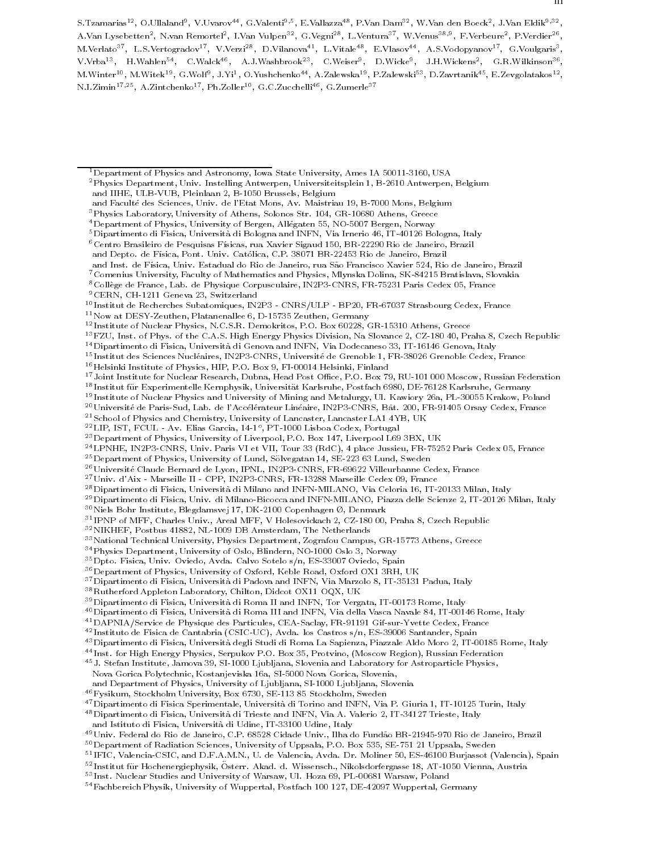9CERN, CH-1211 Geneva 23, Switzerland

- 13FZU, Inst. of Phys. of the C.A.S. High Energy Physics Division, Na Slovance 2, CZ-180 40, Praha 8, Czech Republic
- 14Dipartimento di Fisica, Universita di Genova and INFN, Via Dodecaneso 33, IT-16146 Genova, Italy

<sup>15</sup> Institut des Sciences Nucleaires, IN2P3-CNRS, Universite de Grenoble 1, FR-38026 Grenoble Cedex, France

<sup>16</sup> Helsinki Institute of Physics, HIP, P.O. Box 9, FI-00014 Helsinki, Finland

- <sup>19</sup> Institute of Nuclear Physics and University of Mining and Metalurgy, Ul. Kawiory 26a, PL-30055 Krakow, Poland
- <sup>20</sup> Université de Paris-Sud, Lab. de l'Accélérateur Linéaire, IN2P3-CNRS, Bât. 200, FR-91405 Orsay Cedex, France
- 21School of Physics and Chemistry, University of Lancaster, Lancaster LA1 4YB, UK
- <sup>--</sup> LIF, IST, FUUL AV. Elias Garcia, 14-1°, FT-1000 Lisboa Codex, Forugal
- 23Department of Physics, University of Liverpool, P.O. Box 147, Liverpool L69 3BX, UK
- 24LPNHE, IN2P3-CNRS, Univ. Paris VI et VII, Tour 33 (RdC), 4 place Jussieu, FR-75252 Paris Cedex 05, France
- $^{25}\rm{Department}$  of Physics, University of Lund, Sölvegatan 14, SE-223 63 Lund, Sweden

<sup>26</sup> Université Claude Bernard de Lyon, IPNL, IN2P3-CNRS, FR-69622 Villeurbanne Cedex, France

- 27Univ. d'Aix Marseille II CPP, IN2P3-CNRS, FR-13288 Marseille Cedex 09, France
- 28Dipartimento di Fisica, Universita di Milano and INFN-MILANO, Via Celoria 16, IT-20133 Milan, Italy

29Dipartimento di Fisica, Univ. di Milano-Bicocca and INFN-MILANO, Piazza delle Scienze 2, IT-20126 Milan, Italy

 $^{30}\rm{Ni}$ ls Bohr Institute, Blegdamsvej 17, DK-2100 Copenhagen Ø, Denmark

- $\lceil \cdot \rceil$ IPNP of MFF, Unaries Univ., Areal MFF, V Holesovickach 2, UZ-180 00, Praha 8, Uzech Republic
- 32NIKHEF, Postbus 41882, NL-1009 DB Amsterdam, The Netherlands
- 33National Technical University, Physics Department, Zografou Campus, GR-15773 Athens, Greece

34Physics Department, University of Oslo, Blindern, NO-1000 Oslo 3, Norway

- $^{35}\rm{Dpto}$ . Fisica, Univ. Oviedo, Avda. Calvo Sotelo s/n, ES-33007 Oviedo, Spain
- 36Department of Physics, University of Oxford, Keble Road, Oxford OX1 3RH, UK
- 37Dipartimento di Fisica, Universita di Padova and INFN, Via Marzolo 8, IT-35131 Padua, Italy
- 38Rutherford Appleton Laboratory, Chilton, Didcot OX11 OQX, UK
- 39Dipartimento di Fisica, Universita di Roma II and INFN, Tor Vergata, IT-00173 Rome, Italy
- 40Dipartimento di Fisica, Universita di Roma III and INFN, Via della Vasca Navale 84, IT-00146 Rome, Italy
- 41DAPNIA/Service de Physique des Particules, CEA-Saclay, FR-91191 Gif-sur-Yvette Cedex, France
- <sup>42</sup> Instituto de Fisica de Cantabria (CSIC-UC), Avda. los Castros s/n, ES-39006 Santander, Spain
- 43Dipartimento di Fisica, Universita degli Studi di Roma La Sapienza, Piazzale Aldo Moro 2, IT-00185 Rome, Italy
- $\sim$  Inst. for High Energy Physics, Serpukov P.O. Box 35, Protvino, (Moscow Region), Russian Federation  $\sim$
- 45J. Stefan Institute, Jamova 39, SI-1000 Ljubljana, Slovenia and Laboratory for Astroparticle Physics, Nova Gorica Polytechnic, Kostanjeviska 16a, SI-5000 Nova Gorica, Slovenia,
- 
- and Department of Physics, University of Ljubljana, SI-1000 Ljubljana, Slovenia
- $^{46}\rm Fy$ sikum, Stockholm University, Box 6730, SE-113 85 Stockholm, Sweden
- 47Dipartimento di Fisica Sperimentale, Universita di Torino and INFN, Via P. Giuria 1, IT-10125 Turin, Italy
- 48Dipartimento di Fisica, Universita di Trieste and INFN, Via A. Valerio 2, IT-34127 Trieste, Italy and Istituto di Fisica, Universita di Udine, IT-33100 Udine, Italy

- <sup>51</sup> IFIC, Valencia-CSIC, and D.F.A.M.N., U. de Valencia, Avda. Dr. Moliner 50, ES-46100 Burjassot (Valencia), Spain
- <sup>52</sup> Institut fur Hochenergiephysik, Osterr. Ak ad. d. Wissensch., Nikolsdorfergasse 18, AT-1050 Vienna, Austria
- <sup>53</sup> Inst. Nuclear Studies and University of Warsaw, Ul. Hoza 69, PL-00681 Warsaw, Poland

<sup>1</sup>Department of Physics and Astronomy, Iowa State University, Ames IA 50011-3160, USA 2Physics Department, Univ. Instelling Antwerpen, Universiteitsplein 1, B-2610 Antwerpen, Belgium and IIHE, ULB-VUB, Pleinlaan 2, B-1050 Brussels, Belgium

and Faculte des Sciences, Univ. de l'Etat Mons, Av. Maistriau 19, B-7000 Mons, Belgium

<sup>3</sup>Physics Laboratory, University of Athens, Solonos Str. 104, GR-10680 Athens, Greece

<sup>&</sup>lt;sup>4</sup> Department of Physics, University of Bergen, Allégaten 55, NO-5007 Bergen, Norway

 $^5$ Dipartimento di Fisica, Università di Bologna and INFN, Via Irnerio 46, IT-40126 Bologna, Italy

 $^6$ Centro Brasileiro de Pesquisas Físicas, rua Xavier Sigaud 150, BR-22290 Rio de Janeiro, Brazil

and Depto. de Física, Pont. Univ. Católica, C.P. 38071 BR-22453 Rio de Janeiro, Brazil

and Inst. de Física, Univ. Estadual do Rio de Janeiro, rua São Francisco Xavier 524, Rio de Janeiro, Brazil

<sup>7</sup>Comenius University, Faculty of Mathematics and Physics, Mlynska Dolina, SK-84215 Bratislava, Slovakia

<sup>8</sup>College de France, Lab. de Physique Corpusculaire, IN2P3-CNRS, FR-75231 Paris Cedex 05, France

<sup>10</sup> Institut de Recherches Subatomiques, IN2P3 - CNRS/ULP - BP20, FR-67037 Strasbourg Cedex, France

<sup>11</sup>Now at DESY-Zeuthen, Platanenallee 6, D-15735 Zeuthen, Germany

<sup>12</sup> Institute of Nuclear Physics, N.C.S.R. Demokritos, P.O. Box 60228, GR-15310 Athens, Greece

<sup>&</sup>lt;sup>17</sup> Joint Institute for Nuclear Research, Dubna, Head Post Office, P.O. Box 79, RU-101 000 Moscow, Russian Federation

<sup>18</sup> Institut fur Experimentelle Kernphysik, Universitat Karlsruhe, Postfach 6980, DE-76128 Karlsruhe, Germany

<sup>&</sup>lt;sup>49</sup>Univ. Federal do Rio de Janeiro, C.P. 68528 Cidade Univ., Ilha do Fundão BR-21945-970 Rio de Janeiro, Brazil

<sup>50</sup>Department of Radiation Sciences, University of Uppsala, P.O. Box 535, SE-751 21 Uppsala, Sweden

<sup>54</sup>Fachbereich Physik, University of Wuppertal, Postfach 100 127, DE-42097 Wuppertal, Germany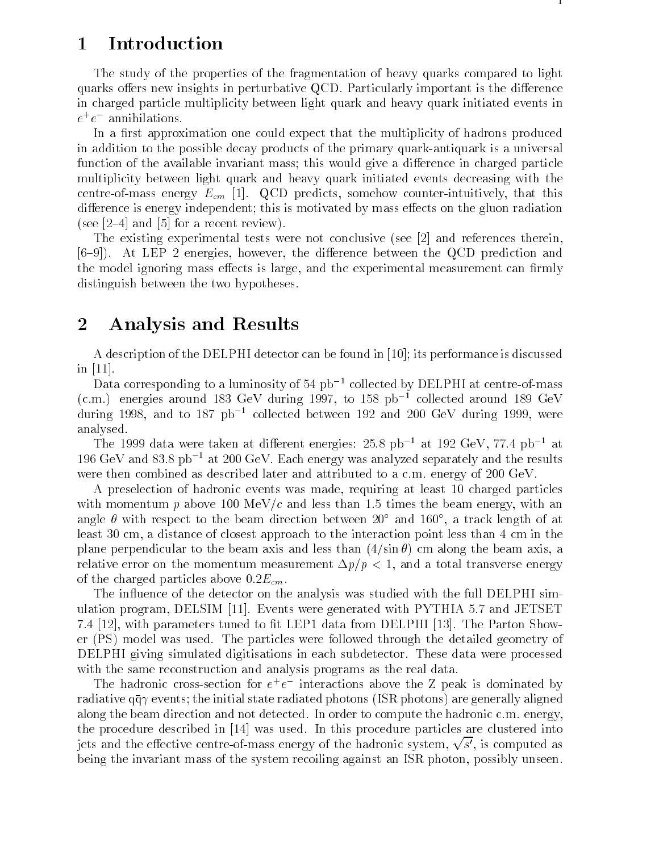# 1 Introduction

The study of the properties of the fragmentation of heavy quarks compared to light quarks offers new insights in perturbative QCD. Particularly important is the difference in charged particle multiplicity between light quark and heavy quark initiated events in  $e^+e^-$  annihilations.  $-$ 

In a first approximation one could expect that the multiplicity of hadrons produced in addition to the possible decay products of the primary quark-antiquark is a universal function of the available invariant mass; this would give a difference in charged particle multiplicity between light quark and heavy quark initiated events decreasing with the centre-of-mass energy  $E_{cm}$  [1]. QCD predicts, somehow counter-intuitively, that this difference is energy independent; this is motivated by mass effects on the gluon radiation (see  $[2-4]$  and  $[5]$  for a recent review).

The existing experimental tests were not conclusive (see [2] and references therein,  $[6-9]$ . At LEP 2 energies, however, the difference between the QCD prediction and the model ignoring mass effects is large, and the experimental measurement can firmly distinguish between the two hypotheses.

## 2 Analysis and Results

A description of the DELPHI detector can be found in [10]; its performance is discussed in [11].

Data corresponding to a luminosity of 54  $pb<sup>-1</sup>$  collected by DELPHI at centre-of-mass  $(c.m.)$  energies around 183 GeV during 1997, to 158 pb<sup>-1</sup> collected around 189 GeV during 1998, and to 187  $pb^{-1}$  collected between 192 and 200 GeV during 1999, were analysed.

The 1999 data were taken at different energies:  $25.8$  pb<sup>-1</sup> at 192 GeV, 77.4 pb<sup>-1</sup> at 196 GeV and 83.8 pb<sup>-1</sup> at 200 GeV. Each energy was analyzed separately and the results were then combined as described later and attributed to a c.m. energy of 200 GeV.

A preselection of hadronic events was made, requiring at least 10 charged particles with momentum p above 100 MeV/c and less than 1.5 times the beam energy, with an angle with respect to the beam direction between 20 and 160 , a track length of at least 30 cm, a distance of closest approach to the interaction point less than 4 cm in the plane perpendicular to the beam axis and less than  $(4/\sin \theta)$  cm along the beam axis, a relative error on the momentum measurement  $\Delta p/p< 1$ , and a total transverse energy of the charged particles above  $0.2E_{cm}$ .

The influence of the detector on the analysis was studied with the full DELPHI simulation program, DELSIM [11]. Events were generated with PYTHIA 5.7 and JETSET 7.4 [12], with parameters tuned to fit LEP1 data from DELPHI [13]. The Parton Shower (PS) model was used. The particles were followed through the detailed geometry of DELPHI giving simulated digitisations in each subdetector. These data were processed with the same reconstruction and analysis programs as the real data.

The hadronic cross-section for  $e^+e^-$  interactions above the  $\overline{\Delta}$  peak is dominated by radiative  $q\bar{q}\gamma$  events; the initial state radiated photons (ISR photons) are generally aligned along the beam direction and not detected. In order to compute the hadronic c.m. energy, the procedure described in [14] was used. In this procedure particles are clustered into jets and the effective centre-of-mass energy of the hadronic system,  $\sqrt{s'}$ , is computed as being the invariant mass of the system recoiling against an ISR photon, possibly unseen.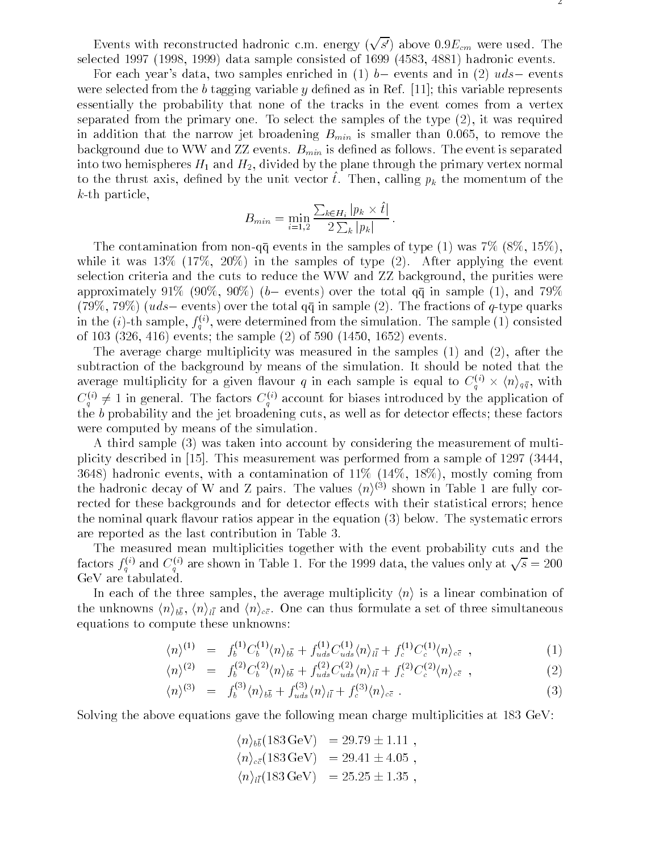Events with reconstructed hadronic c.m. energy  $(\sqrt{s'})$  above  $0.9E_{cm}$  were used. The selected 1997 (1998, 1999) data sample consisted of 1699 (4583, 4881) hadronic events.

For each year's data, two samples enriched in (1)  $b-$  events and in (2)  $uds-$  events were selected from the b tagging variable y defined as in Ref. [11]; this variable represents essentially the probability that none of the tracks in the event comes from a vertex separated from the primary one. To select the samples of the type (2), it was required in addition that the narrow jet broadening  $B_{min}$  is smaller than 0.065, to remove the background due to WW and ZZ events.  $B_{min}$  is defined as follows. The event is separated into two hemispheres  $H_1$  and  $H_2$ , divided by the plane through the primary vertex normal to the thrust axis, defined by the unit vector  $\hat{t}$ . Then, calling  $p_k$  the momentum of the k-th particle,

$$
B_{min} = \min_{i=1,2} \frac{\sum_{k \in H_i} |p_k \times \hat{t}|}{2 \sum_k |p_k|}.
$$

The contamination from non-qq events in the samples of type (1) was  $7\%$  (8\%, 15\%), while it was  $13\%$   $(17\%, 20\%)$  in the samples of type  $(2)$ . After applying the event selection criteria and the cuts to reduce the WW and ZZ background, the purities were approximately 91% (90%, 90%) (b- events) over the total  $q\bar{q}$  in sample (1), and 79%  $(79\%, 79\%)$  (uds – events) over the total  $q\bar{q}$  in sample (2). The fractions of q-type quarks in the  $(i)$ -th sample,  $f_g^{(\gamma)}$ , were determined from the simulation. The sample  $(1)$  consisted of 103 (326, 416) events; the sample (2) of 590 (1450, 1652) events.

The average charge multiplicity was measured in the samples (1) and (2), after the subtraction of the background by means of the simulation. It should be noted that the average multiplicity for a given flavour q in each sample is equal to  $C_d^{\rightarrow\rightarrow}\times \langle n\rangle_{q\bar{q}},$  with  $C_i^{\ \gamma} \neq 1$  in general. The factors  $C_i^{\ \gamma}$  account for biases introduced by the application of the  $b$  probability and the jet broadening cuts, as well as for detector effects; these factors were computed by means of the simulation.

A third sample (3) was taken into account by considering the measurement of multiplicity described in [15]. This measurement was performed from a sample of 1297 (3444, 3648) hadronic events, with a contamination of 11% (14%, 18%), mostly coming from the hadronic decay of W and Z pairs. The values  $\langle n \rangle^{<}$  shown in Table 1 are fully corrected for these backgrounds and for detector effects with their statistical errors; hence the nominal quark flavour ratios appear in the equation (3) below. The systematic errors are reported as the last contribution in Table 3.

The measured mean multiplicities together with the event probability cuts and the factors  $f_q^{(i)}$  and  $C_q^{(i)}$  are shown in Table 1. For the 1999 data, the values only at  $\sqrt{s} = 200$ GeV are tabulated.

In each of the three samples, the average multiplicity  $\langle n \rangle$  is a linear combination of . The understanding  $\{11/100\}$  ,  $\{11/100\}$  ,  $\{11/1000\}$  ,  $\{11/1000\}$  ,  $\{11/1000\}$  ,  $\{11/1000\}$  ,  $\{11/1000\}$  ,  $\{11/1000\}$  ,  $\{11/1000\}$  ,  $\{11/1000\}$  ,  $\{11/1000\}$  ,  $\{11/1000\}$  ,  $\{11/1000\$ equations to compute these unknowns:

$$
\langle n \rangle^{(1)} = f_b^{(1)} C_b^{(1)} \langle n \rangle_{b\bar{b}} + f_{uds}^{(1)} C_{uds}^{(1)} \langle n \rangle_{l\bar{l}} + f_c^{(1)} C_c^{(1)} \langle n \rangle_{c\bar{c}} , \qquad (1)
$$

$$
\langle n \rangle^{(2)} = f_b^{(2)} C_b^{(2)} \langle n \rangle_{b\bar{b}} + f_{uds}^{(2)} C_{uds}^{(2)} \langle n \rangle_{l\bar{l}} + f_c^{(2)} C_c^{(2)} \langle n \rangle_{c\bar{c}} , \qquad (2)
$$

$$
\langle n \rangle^{(3)} = f_b^{(3)} \langle n \rangle_{b\bar{b}} + f_{uds}^{(3)} \langle n \rangle_{l\bar{l}} + f_c^{(3)} \langle n \rangle_{c\bar{c}} . \tag{3}
$$

Solving the above equations gave the following mean charge multiplicities at 183 GeV:

$$
\langle n \rangle_{b\bar{b}}(183 \text{ GeV}) = 29.79 \pm 1.11 ,\langle n \rangle_{c\bar{c}}(183 \text{ GeV}) = 29.41 \pm 4.05 ,\langle n \rangle_{l\bar{l}}(183 \text{ GeV}) = 25.25 \pm 1.35 ,
$$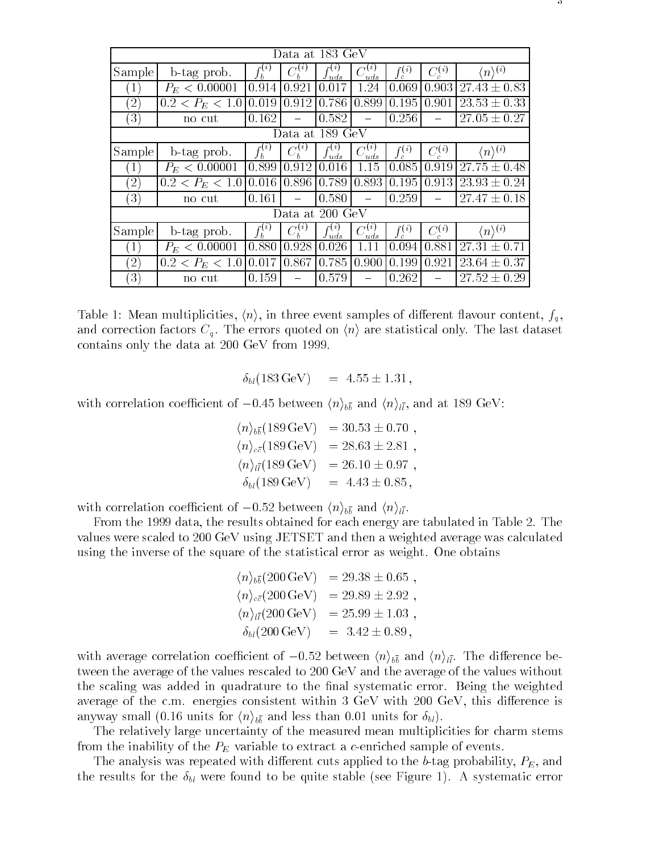|                   |                              | Data at 183 GeV |                 |                      |                 |             |             |                             |
|-------------------|------------------------------|-----------------|-----------------|----------------------|-----------------|-------------|-------------|-----------------------------|
| Sample            | b-tag prob.                  | $f_b^{(i)}$     | $C_b^{(i)}$     | $f_{uds}^{(\imath)}$ | $C_{uds}^{(i)}$ | $f_c^{(i)}$ | $C_c^{(i)}$ | $\langle n \rangle^{(i)}$   |
|                   | $P_E < 0.00001$              | 0.914           | 0.921           | 0.017                | 1.24            | 0.069       | 0.903       | $27.43 \pm 0.83$            |
| $\left( 2\right)$ | $0.2 < P_E < 1.0$            | 0.019           | 0.912           | 0.786                | 0.899           | 0.195       | 0.901       | $23.53 \pm 0.33$            |
| $\left(3\right)$  | no cut                       | 0.162           |                 | 0.582                |                 | 0.256       |             | $27.05 \pm 0.27$            |
|                   |                              |                 | Data at 189 GeV |                      |                 |             |             |                             |
| Sample            | b-tag prob.                  | $f_b^{(i)}$     | $C_b^{(i)}$     | $f_{uds}^{(\imath)}$ | $C_{uds}^{(i)}$ | $f_c^{(i)}$ | $C_c^{(i)}$ | $\langle n \rangle^{(i)}$   |
|                   | $P_E < 0.00001$              | 0.899           | 0.912           | 0.016                | 1.15            | 0.085       | 0.919       | $\overline{27.75 \pm 0.48}$ |
| $\left( 2\right)$ | $\overline{0.2} < P_E < 1.0$ | 0.016           | 0.896           | 0.789                | 0.893           | 0.195       | 0.913       | $23.93 \pm 0.24$            |
| $\left(3\right)$  | no cut                       | 0.161           |                 | 0.580                |                 | 0.259       |             | $27.47 \pm 0.18$            |
|                   | Data at 200 GeV              |                 |                 |                      |                 |             |             |                             |
| Sample            | b-tag prob.                  | $f_b^{(i)}$     | $C_b^{(i)}$     | $f_{uds}^{(\imath)}$ | $C^{(i)}_{uds}$ | $f_c^{(i)}$ | $C_c^{(i)}$ | $\langle n \rangle^{(i)}$   |
|                   | $P_E < 0.00001$              | 0.880           | 0.928           | 0.026                | 1.11            | 0.094       | 0.881       | $27.31 \pm 0.71$            |
| $\left( 2\right)$ | $0.2 < P_E < 1.0$            | 0.017           | 0.867           | 0.785                | 0.900           | 0.199       | 0.921       | $23.64 \pm 0.37$            |
| $\left(3\right)$  | no cut                       | 0.159           |                 | 0.579                |                 | 0.262       |             | $27.52 \pm 0.29$            |

Table 1: Mean multiplicities,  $\langle n \rangle$ , in three event samples of different flavour content,  $f_q$ , and correction factors  $C_q$ . The errors quoted on  $\langle n \rangle$  are statistical only. The last dataset contains only the data at 200 GeV from 1999.

 $\delta_{bl}(183 \text{ GeV})$  =  $4.55 \pm 1.31$ ,

with correlation coefficient of  $\sim$  0.45 between help  $\langle \cdot, \cdot \rangle_{00}$  between  $\langle \cdot, \cdot \rangle_{ll}$  , and at 189 GeV:

$$
\langle n \rangle_{b\bar{b}}(189 \text{ GeV}) = 30.53 \pm 0.70 ,\langle n \rangle_{c\bar{c}}(189 \text{ GeV}) = 28.63 \pm 2.81 ,\langle n \rangle_{l\bar{l}}(189 \text{ GeV}) = 26.10 \pm 0.97 ,\delta_{b\bar{l}}(189 \text{ GeV}) = 4.43 \pm 0.85 ,
$$

with correlation coefficient of  $\sim$  0:52 between hold  $\mu$  . All . . .

From the 1999 data, the results obtained for each energy are tabulated in Table 2. The values were scaled to 200 GeV using JETSET and then a weighted average was calculated using the inverse of the square of the statistical error as weight. One obtains

$$
\langle n \rangle_{b\bar{b}}(200 \text{ GeV}) = 29.38 \pm 0.65 ,\langle n \rangle_{c\bar{c}}(200 \text{ GeV}) = 29.89 \pm 2.92 ,\langle n \rangle_{l\bar{l}}(200 \text{ GeV}) = 25.99 \pm 1.03 ,\delta_{b\bar{l}}(200 \text{ GeV}) = 3.42 \pm 0.89 ,
$$

with a version correlation coefficient of  $\alpha$  below  $\alpha$  . The distribution of  $\alpha$ tween the average of the values rescaled to 200 GeV and the average of the values without the scaling was added in quadrature to the final systematic error. Being the weighted average of the c.m. energies consistent within  $3 \text{ GeV}$  with  $200 \text{ GeV}$ , this difference is and less than  $\langle \cdot \rangle$  is that is for the less than  $\cdot \rangle$  . If  $p$  units for block  $\vert \cdot \vert$ 

The relatively large uncertainty of the measured mean multiplicities for charm stems from the inability of the  $P_E$  variable to extract a c-enriched sample of events.

The analysis was repeated with different cuts applied to the b-tag probability,  $P_E$ , and the results for the  $\delta_{bl}$  were found to be quite stable (see Figure 1). A systematic error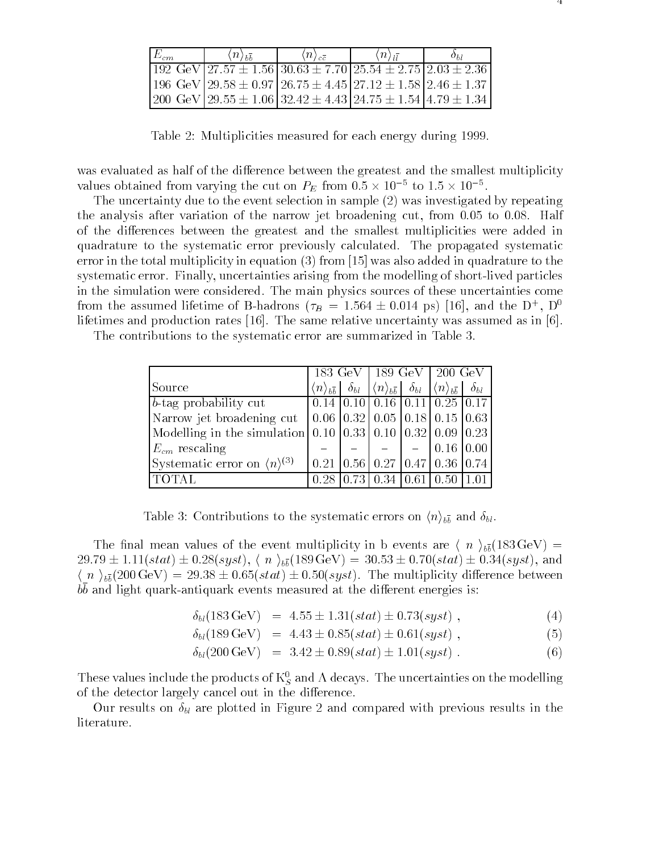| $\langle n \rangle_{h\overline{h}}$ | $\langle n \rangle_{c\bar{c}}$ | $\langle n \rangle_{1}$                                                              |  |  |
|-------------------------------------|--------------------------------|--------------------------------------------------------------------------------------|--|--|
|                                     |                                | $192 \text{ GeV}$ 27.57 $\pm 1.56$ 30.63 $\pm 7.70$ 25.54 $\pm 2.75$ 2.03 $\pm 2.36$ |  |  |
|                                     |                                | 196 GeV   29.58 $\pm$ 0.97   26.75 $\pm$ 4.45   27.12 $\pm$ 1.58   2.46 $\pm$ 1.37   |  |  |
|                                     |                                | 200 GeV   29.55 $\pm$ 1.06   32.42 $\pm$ 4.43   24.75 $\pm$ 1.54   4.79 $\pm$ 1.34   |  |  |

Table 2: Multiplicities measured for each energy during 1999.

was evaluated as half of the difference between the greatest and the smallest multiplicity values obtained from varying the cut on  $P_E$  from 0.5  $\times$  10  $^+$  to 1.5  $\times$  10  $^+$ .

The uncertainty due to the event selection in sample (2) was investigated by repeating the analysis after variation of the narrow jet broadening cut, from 0.05 to 0.08. Half of the differences between the greatest and the smallest multiplicities were added in quadrature to the systematic error previously calculated. The propagated systematic error in the total multiplicity in equation (3) from [15] was also added in quadrature to the systematic error. Finally, uncertainties arising from the modelling of short-lived particles in the simulation were considered. The main physics sources of these uncertainties come from the assumed inettine of D-hadrons ( $\tau_B$  = 1.564  $\pm$  0.014 ps) [16], and the D+, D<sup>+</sup> lifetimes and production rates [16]. The same relative uncertainty was assumed as in [6].

The contributions to the systematic error are summarized in Table 3.

|                                                                                           | $183 \text{ GeV}$                   |               | –189 GeV   200 GeV                                                  |       |                                                                              |  |
|-------------------------------------------------------------------------------------------|-------------------------------------|---------------|---------------------------------------------------------------------|-------|------------------------------------------------------------------------------|--|
| Source                                                                                    | $\langle n \rangle_{b\overline{b}}$ | $\delta_{bl}$ |                                                                     |       | $\langle n \rangle_{b\bar{b}}$ $\delta_{bl}$ $ \langle n \rangle_{b\bar{b}}$ |  |
| b-tag probability cut                                                                     |                                     |               | $0.14$   0.10   0.16   0.11   0.25   0.17                           |       |                                                                              |  |
| Narrow jet broadening cut                                                                 |                                     |               | $\vert 0.06 \vert 0.32 \vert 0.05 \vert 0.18 \vert 0.15 \vert 0.63$ |       |                                                                              |  |
| Modelling in the simulation 0.10 $\vert 0.33 \vert 0.10 \vert 0.32 \vert 0.09 \vert 0.23$ |                                     |               |                                                                     |       |                                                                              |  |
| $E_{cm}$ rescaling                                                                        |                                     |               |                                                                     |       | $0.16 \mid 0.00$                                                             |  |
| Systematic error on $\langle n \rangle^{(3)}$                                             |                                     |               | $0.21$   0.56   0.27   0.47   0.36   0.74                           |       |                                                                              |  |
|                                                                                           | 0.28                                | 0.73          | 0.34                                                                | 10.61 | 0.50                                                                         |  |

 $\sim$  3: Contributions to the systematic errors on  $\sqrt{100}$  and  $\sim$   $\theta$ .

The means means values of the event multiplicity in a static in a  $\setminus$  if  $\setminus$   $\setminus$   $\setminus$  $2.93 \pm 0.000$   $\pm 0.000$   $\pm 0.000$   $\pm 0.000$   $\pm 0.000$   $\pm 0.000$   $\pm 0.000$   $\pm 0.000$   $\pm 0.000$   $\pm 0.000$ <sup>h</sup> <sup>n</sup> <sup>i</sup> bb(200 GeV) = 29:38 <sup>0</sup>:65(stat) <sup>0</sup>:50(syst). The multiplicity dierence between b <sup>b</sup> and light quark-antiquark events measured at the dierent energies is:

 $\delta_{bl}(183 \,\text{GeV})$  =  $4.55 \pm 1.31(stat) \pm 0.73(syst)$ , (4)

$$
\delta_{bl}(189 \,\text{GeV}) = 4.43 \pm 0.85(stat) \pm 0.61(syst) , \qquad (5)
$$

$$
\delta_{bl}(200 \,\text{GeV}) = 3.42 \pm 0.89(stat) \pm 1.01(syst) \,. \tag{6}
$$

These values include the products of  $\kappa_{S}$  and  $\Lambda$  decays. The uncertainties on the modelling of the detector largely cancel out in the difference.

Our results on  $\delta_{bl}$  are plotted in Figure 2 and compared with previous results in the literature.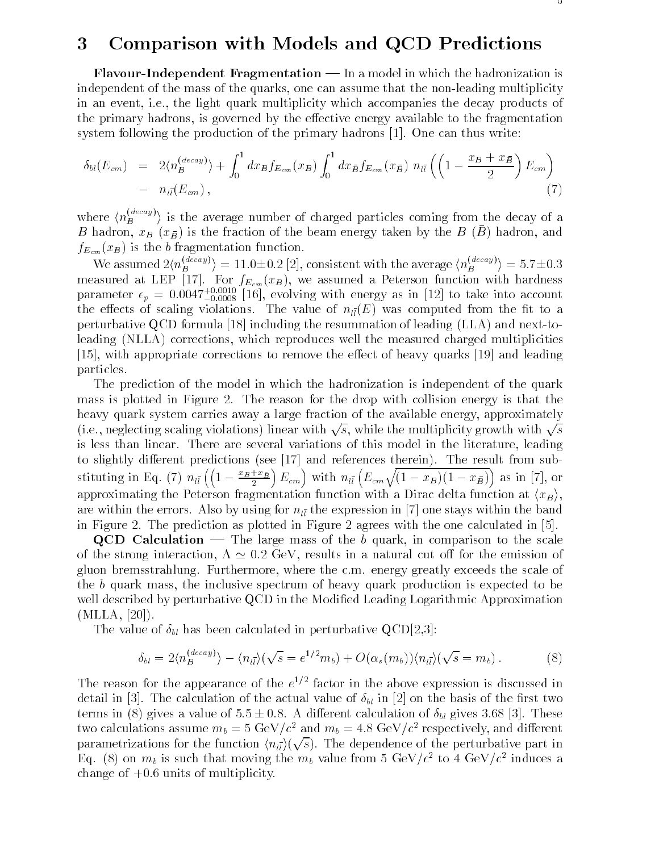### 3 Comparison with Models and QCD Predictions

**Flavour-Independent Fragmentation**  $\frac{m}{n}$  In a model in which the hadronization is independent of the mass of the quarks, one can assume that the non-leading multiplicity in an event, i.e., the light quark multiplicity which accompanies the decay products of the primary hadrons, is governed by the effective energy available to the fragmentation system following the production of the primary hadrons [1]. One can thus write:

$$
\delta_{bl}(E_{cm}) = 2\langle n_B^{(decay)} \rangle + \int_0^1 dx_B f_{E_{cm}}(x_B) \int_0^1 dx_{\bar{B}} f_{E_{cm}}(x_{\bar{B}}) n_{l\bar{l}} \left( \left( 1 - \frac{x_B + x_B}{2} \right) E_{cm} \right) - n_{l\bar{l}}(E_{cm}), \tag{7}
$$

where  $\langle n_B^{(\rm max)} \rangle$  is the average number of charged particles coming from the decay of a B hadron,  $x_B(x_{\bar{B}})$  is the fraction of the beam energy taken by the B  $(\bar{B})$  hadron, and  $f_{\text{E}}(m)$  is the b fragmentation function.

We assumed  $2\langle n_B^{B^{1/2}}\rangle = 11.0 \pm 0.2$  [2], consistent with the average  $\langle n_B^{B^{1/2}}\rangle = 5.7 \pm 0.3$ measured at LEP  $\left[1,1\right]$ . For  $f_{\textit{LCW}}$  (x  $D$  ), we assume a Peterson function with hardness  $\left[1,1\right]$ parameter  $\epsilon_p$  = 0.0047+0.0008 [16], evolving with energy as in [12] to take into account the effects of scaling violations. The value of  $n_{\bar{l}l}(E)$  was computed from the fit to a perturbative QCD formula [18] including the resummation of leading (LLA) and next-toleading (NLLA) corrections, which reproduces well the measured charged multiplicities  $[15]$ , with appropriate corrections to remove the effect of heavy quarks  $[19]$  and leading particles.

The prediction of the model in which the hadronization is independent of the quark mass is plotted in Figure 2. The reason for the drop with collision energy is that the heavy quark system carries away a large fraction of the available energy, approximately (i.e., neglecting scaling violations) linear with  $\sqrt{s}$ , while the multiplicity growth with  $\sqrt{s}$ is less than linear. There are several variations of this model in the literature, leading to slightly different predictions (see  $[17]$  and references therein). The result from substituting in Eq. (7)  $n_{l\bar{l}}\left(\left(1-\frac{x_B+x_B}{2}\right)E_{cm}\right)$  with  $n_{l\bar{l}}\left(E_{cm}\sqrt{(1-x_B)(1-x_B)}\right)$  as in [7], or approximating the Peterson fragmentation function with a Dirac delta function at  $\langle x_B \rangle$ , are within the errors. Also by using for  $n_{i\bar{i}}$  the expression in [7] one stays within the band in Figure 2. The prediction as plotted in Figure 2 agrees with the one calculated in [5].

**QCD** Calculation — The large mass of the b quark, in comparison to the scale of the strong interaction,  $\Lambda \simeq 0.2$  GeV, results in a natural cut off for the emission of gluon bremsstrahlung. Furthermore, where the c.m. energy greatly exceeds the scale of the <sup>b</sup> quark mass, the inclusive spectrum of heavy quark production is expected to be well described by perturbative QCD in the Modified Leading Logarithmic Approximation (MLLA, [20]).

The value of  $\delta_{bl}$  has been calculated in perturbative QCD[2,3]:

$$
\delta_{bl} = 2 \langle n_B^{(decay)} \rangle - \langle n_{l\bar{l}} \rangle (\sqrt{s} = e^{1/2} m_b) + O(\alpha_s(m_b)) \langle n_{l\bar{l}} \rangle (\sqrt{s} = m_b). \tag{8}
$$

The reason for the appearance of the  $e^{-t}$  factor in the above expression is discussed in detail in [3]. The calculation of the actual value of  $\delta_{bl}$  in [2] on the basis of the first two terms in (8) gives a value of  $5.5 \pm 0.8$ . A different calculation of  $\delta_{bl}$  gives 3.68 [3]. These two calculations assume  $m_b = 5 \text{ GeV}/c$  and  $m_b = 4.8 \text{ GeV}/c$  respectively, and different parametrizations for the function  $\langle n_{l\bar{l}}\rangle(\sqrt{s})$ . The dependence of the perturbative part in Eq. (8) on  $m_b$  is such that moving the  $m_b$  value from 5 GeV/c to 4 GeV/c induces a change of  $+0.6$  units of multiplicity.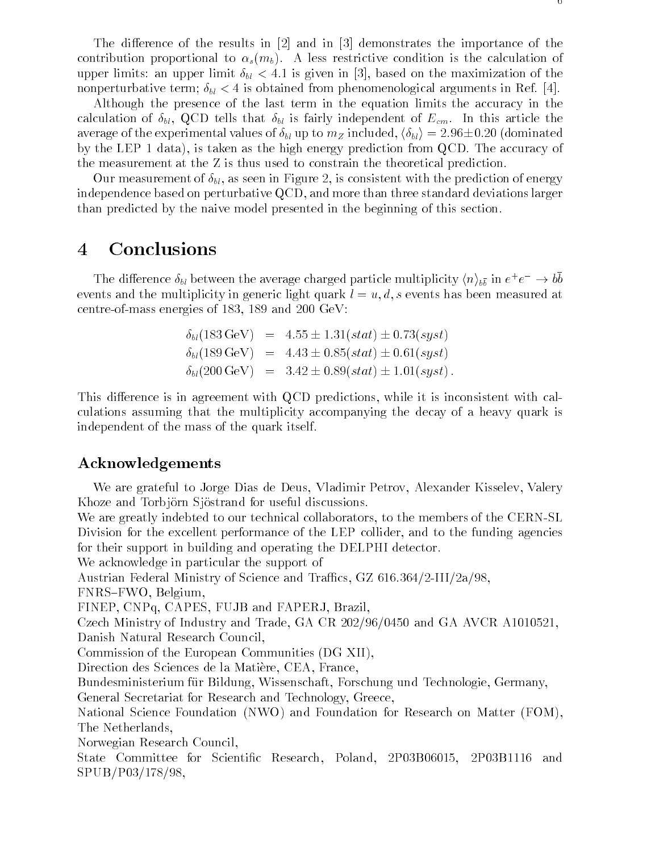The difference of the results in  $[2]$  and in  $[3]$  demonstrates the importance of the contribution proportional to  $\alpha_s(m_b)$ . A less restrictive condition is the calculation of upper limits: an upper limit  $\delta_{bl} < 4.1$  is given in [3], based on the maximization of the nonperturbative term;  $\delta_{bl} < 4$  is obtained from phenomenological arguments in Ref. [4].

Although the presence of the last term in the equation limits the accuracy in the calculation of  $\delta_{bl}$ , QCD tells that  $\delta_{bl}$  is fairly independent of  $E_{cm}$ . In this article the average of the experimental values of  $\delta_{bl}$  up to  $m_Z$  included,  $\langle \delta_{bl} \rangle = 2.96 \pm 0.20$  (dominated by the LEP 1 data), is taken as the high energy prediction from QCD. The accuracy of the measurement at the Z is thus used to constrain the theoretical prediction.

Our measurement of  $\delta_{bl}$ , as seen in Figure 2, is consistent with the prediction of energy independence based on perturbative QCD, and more than three standard deviations larger than predicted by the naive model presented in the beginning of this section.

# 4 Conclusions

The difference  $\delta_{bl}$  between the average charged particle multiplicity  $\langle n \rangle_{b\bar{b}}$  in  $e^+e^- \rightarrow$  00 events and the multiplicity in generic light quark  $l = u, d, s$  events has been measured at centre-of-mass energies of 183, 189 and 200 GeV:

$$
\delta_{bl}(183 \,\text{GeV}) = 4.55 \pm 1.31(stat) \pm 0.73(syst)
$$
  
\n
$$
\delta_{bl}(189 \,\text{GeV}) = 4.43 \pm 0.85(stat) \pm 0.61(syst)
$$
  
\n
$$
\delta_{bl}(200 \,\text{GeV}) = 3.42 \pm 0.89(stat) \pm 1.01(syst).
$$

This difference is in agreement with QCD predictions, while it is inconsistent with calculations assuming that the multiplicity accompanying the decay of a heavy quark is independent of the mass of the quark itself.

#### Acknowledgements

We are grateful to Jorge Dias de Deus, Vladimir Petrov, Alexander Kisselev, Valery Khoze and Torbjörn Sjöstrand for useful discussions.

We are greatly indebted to our technical collaborators, to the members of the CERN-SL Division for the excellent performance of the LEP collider, and to the funding agencies for their support in building and operating the DELPHI detector.

We acknowledge in particular the support of

Austrian Federal Ministry of Science and Traffics, GZ 616.364/2-III/2a/98,

FNRS-FWO, Belgium,

FINEP, CNPq, CAPES, FUJB and FAPERJ, Brazil,

Czech Ministry of Industry and Trade, GA CR 202/96/0450 and GA AVCR A1010521, Danish Natural Research Council,

Commission of the European Communities (DG XII),

Direction des Sciences de la Matiere, CEA, France,

Bundesministerium fur Bildung, Wissenschaft, Forschung und Technologie, Germany,

General Secretariat for Research and Technology, Greece,

National Science Foundation (NWO) and Foundation for Research on Matter (FOM), The Netherlands,

Norwegian Research Council,

State Committee for Scientific Research, Poland, 2P03B06015, 2P03B1116 and SPUB/P03/178/98,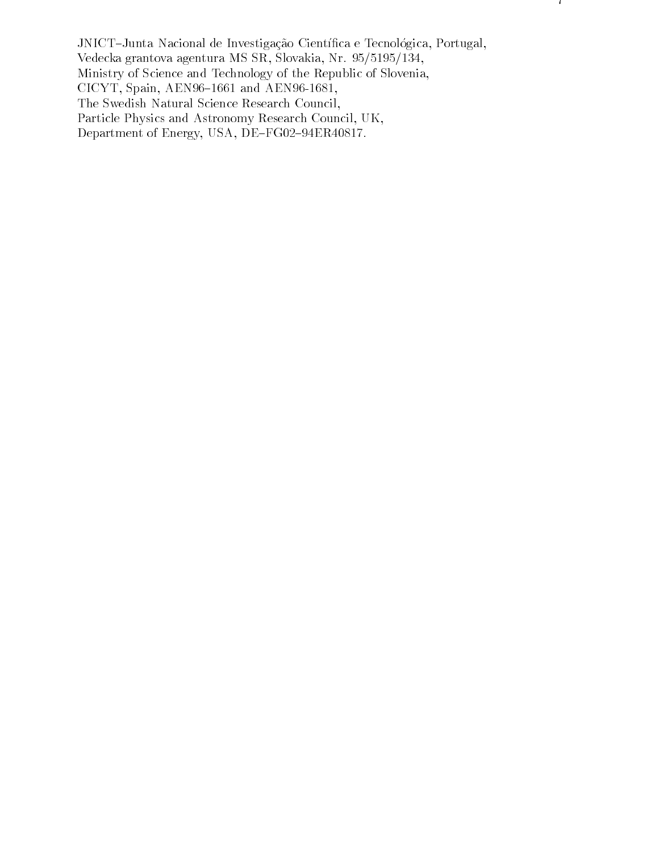JNICT-Junta Nacional de Investigação Científica e Tecnológica, Portugal, Vedecka grantova agentura MS SR, Slovakia, Nr. 95/5195/134, Ministry of Science and Technology of the Republic of Slovenia, CICYT, Spain, AEN96-1661 and AEN96-1681, The Swedish Natural Science Research Council, Particle Physics and Astronomy Research Council, UK, Department of Energy, USA, DE-FG02-94ER40817.

 $\left| \right|$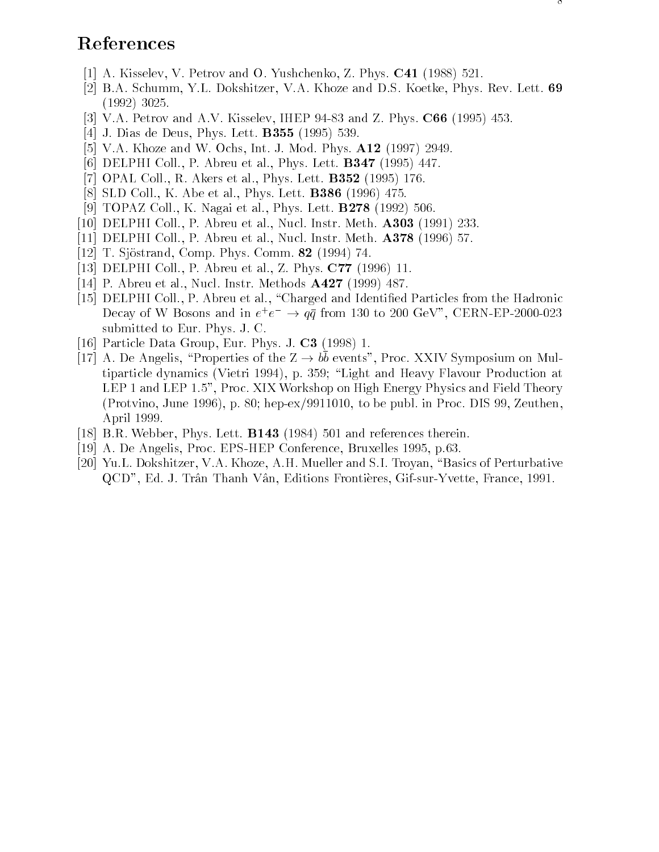# References

- [1] A. Kisselev, V. Petrov and O. Yushchenko, Z. Phys. C41 (1988) 521.
- [2] B.A. Schumm, Y.L. Dokshitzer, V.A. Khoze and D.S. Koetke, Phys. Rev. Lett. 69 (1992) 3025.
- [3] V.A. Petrov and A.V. Kisselev, IHEP 94-83 and Z. Phys. C66 (1995) 453.
- [4] J. Dias de Deus, Phys. Lett. B355 (1995) 539.
- [5] V.A. Khoze and W. Ochs, Int. J. Mod. Phys. A12 (1997) 2949.
- [6] DELPHI Coll., P. Abreu et al., Phys. Lett. **B347** (1995) 447.
- [7] OPAL Coll., R. Akers et al., Phys. Lett. B352 (1995) 176.
- [8] SLD Coll., K. Abe et al., Phys. Lett. B386 (1996) 475.
- [9] TOPAZ Coll., K. Nagai et al., Phys. Lett. B278 (1992) 506.
- [10] DELPHI Coll., P. Abreu et al., Nucl. Instr. Meth. A303 (1991) 233.
- [11] DELPHI Coll., P. Abreu et al., Nucl. Instr. Meth. A378 (1996) 57.
- [12] T. Sjöstrand, Comp. Phys. Comm. **82** (1994) 74.
- [13] DELPHI Coll., P. Abreu et al., Z. Phys. C77 (1996) 11.
- [14] P. Abreu et al., Nucl. Instr. Methods A427 (1999) 487.
- [15] DELPHI Coll., P. Abreu et al., \Charged and Identied Particles from the Hadronic Decay of W Bosons and in  $e^+e^- \rightarrow qq$  from 130 to 200 GeV, CERN-EP-2000-023 submitted to Eur. Phys. J. C.
- [16] Particle Data Group, Eur. Phys. J. C3 (1998) 1.
- $\mu$  a. De Angelis, Properties of the  $\mu \to \nu \nu$  events", Proc. AATV Symposium on Multiparticle dynamics (Vietri 1994), p. 359; \Light and Heavy Flavour Production at LEP 1 and LEP 1.5", Proc. XIX Workshop on High Energy Physics and Field Theory (Protvino, June 1996), p. 80; hep-ex/9911010, to be publ. in Proc. DIS 99, Zeuthen, April 1999.
- [18] B.R. Webber, Phys. Lett. **B143** (1984) 501 and references therein.
- [19] A. De Angelis, Proc. EPS-HEP Conference, Bruxelles 1995, p.63.
- [20] Yu.L. Dokshitzer, V.A. Khoze, A.H. Mueller and S.I. Troyan, "Basics of Perturbative QCD", Ed. J. Trân Thanh Vân, Editions Frontières, Gif-sur-Yvette, France, 1991.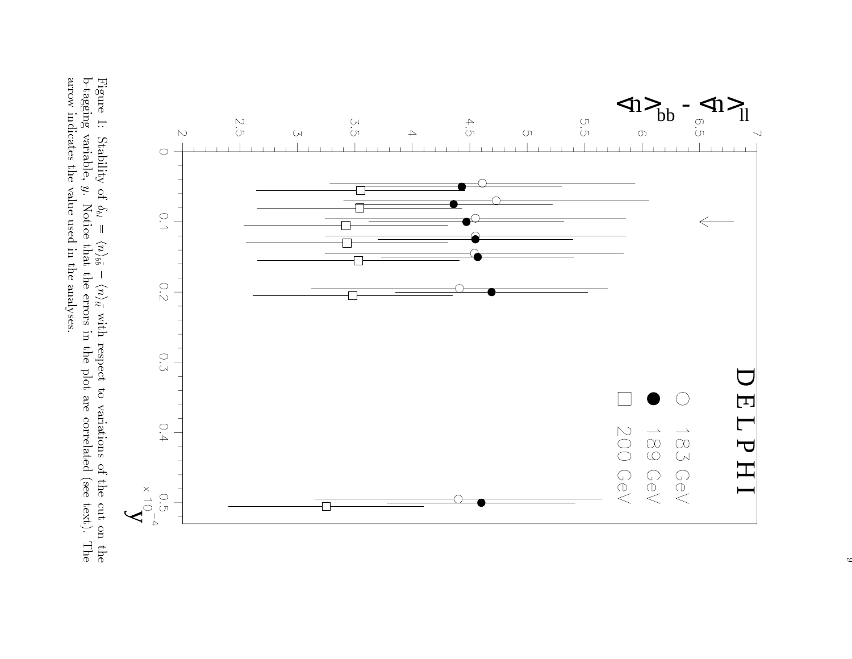

 $\ddot{\phantom{0}}$  with respect to variations of the cut on the $\frac{1}{2}$  y. Notice that the errors in the plot are correlated (see text). Thearrow indicates the value used in the analyses.